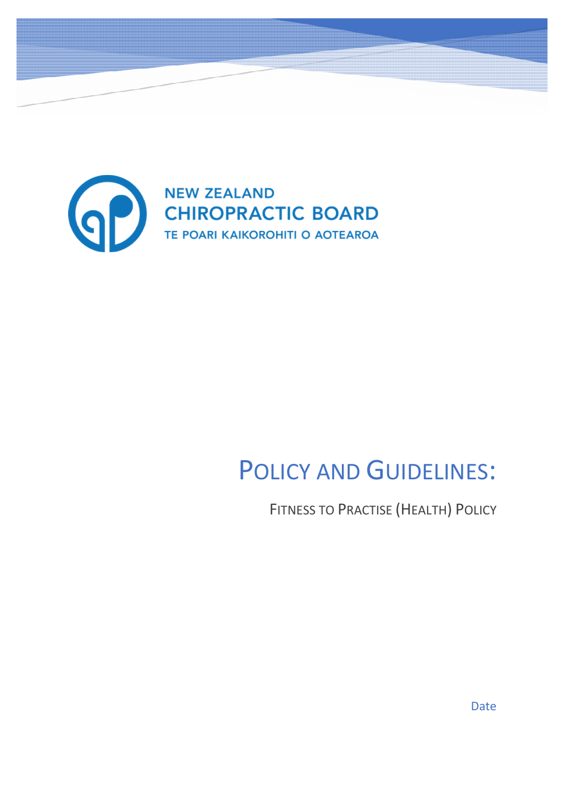

# POLICY AND GUIDELINES:

FITNESS TO PRACTISE (HEALTH) POLICY

Date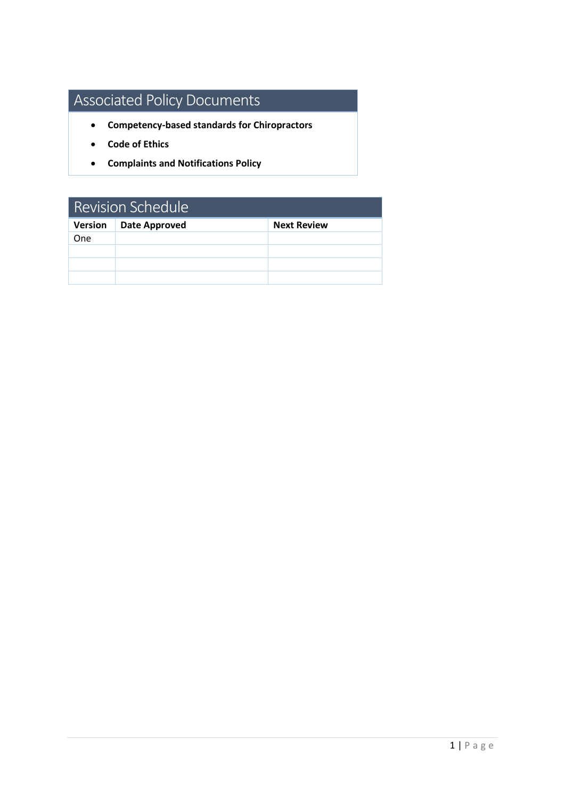## Associated Policy Documents

- **Competency-based standards for Chiropractors**
- **Code of Ethics**
- **Complaints and Notifications Policy**

| <b>Revision Schedule</b> |                      |                    |
|--------------------------|----------------------|--------------------|
| <b>Version</b>           | <b>Date Approved</b> | <b>Next Review</b> |
| <b>One</b>               |                      |                    |
|                          |                      |                    |
|                          |                      |                    |
|                          |                      |                    |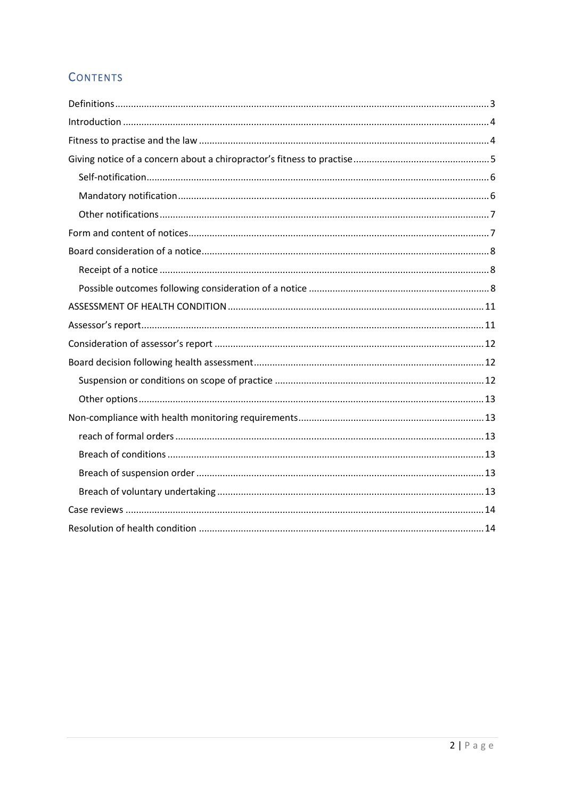## **CONTENTS**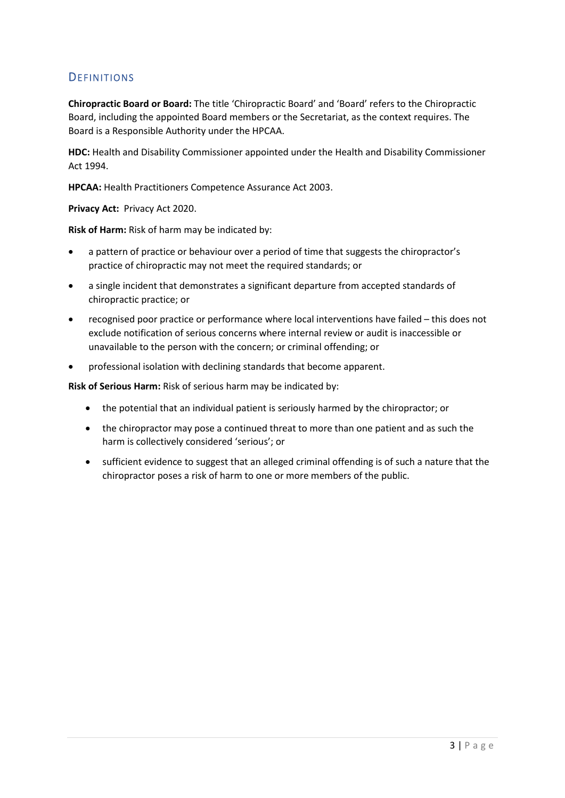## <span id="page-3-0"></span>**DEFINITIONS**

**Chiropractic Board or Board:** The title 'Chiropractic Board' and 'Board' refers to the Chiropractic Board, including the appointed Board members or the Secretariat, as the context requires. The Board is a Responsible Authority under the HPCAA.

**HDC:** Health and Disability Commissioner appointed under the Health and Disability Commissioner Act 1994.

**HPCAA:** Health Practitioners Competence Assurance Act 2003.

**Privacy Act:** Privacy Act 2020.

**Risk of Harm:** Risk of harm may be indicated by:

- a pattern of practice or behaviour over a period of time that suggests the chiropractor's practice of chiropractic may not meet the required standards; or
- a single incident that demonstrates a significant departure from accepted standards of chiropractic practice; or
- recognised poor practice or performance where local interventions have failed this does not exclude notification of serious concerns where internal review or audit is inaccessible or unavailable to the person with the concern; or criminal offending; or
- professional isolation with declining standards that become apparent.

**Risk of Serious Harm:** Risk of serious harm may be indicated by:

- the potential that an individual patient is seriously harmed by the chiropractor; or
- the chiropractor may pose a continued threat to more than one patient and as such the harm is collectively considered 'serious'; or
- sufficient evidence to suggest that an alleged criminal offending is of such a nature that the chiropractor poses a risk of harm to one or more members of the public.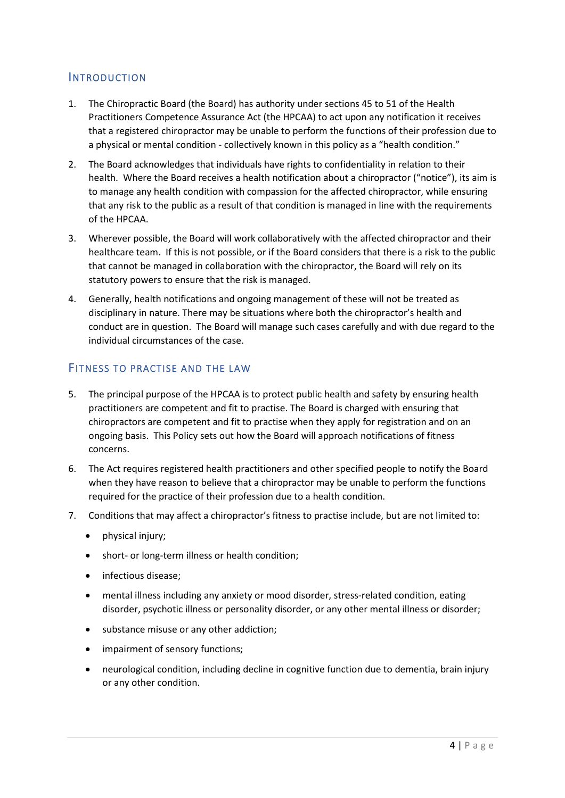## <span id="page-4-0"></span>INTRODUCTION

- 1. The Chiropractic Board (the Board) has authority under sections 45 to 51 of the Health Practitioners Competence Assurance Act (the HPCAA) to act upon any notification it receives that a registered chiropractor may be unable to perform the functions of their profession due to a physical or mental condition - collectively known in this policy as a "health condition."
- 2. The Board acknowledges that individuals have rights to confidentiality in relation to their health. Where the Board receives a health notification about a chiropractor ("notice"), its aim is to manage any health condition with compassion for the affected chiropractor, while ensuring that any risk to the public as a result of that condition is managed in line with the requirements of the HPCAA.
- 3. Wherever possible, the Board will work collaboratively with the affected chiropractor and their healthcare team. If this is not possible, or if the Board considers that there is a risk to the public that cannot be managed in collaboration with the chiropractor, the Board will rely on its statutory powers to ensure that the risk is managed.
- 4. Generally, health notifications and ongoing management of these will not be treated as disciplinary in nature. There may be situations where both the chiropractor's health and conduct are in question. The Board will manage such cases carefully and with due regard to the individual circumstances of the case.

## <span id="page-4-1"></span>FITNESS TO PRACTISE AND THE LAW

- 5. The principal purpose of the HPCAA is to protect public health and safety by ensuring health practitioners are competent and fit to practise. The Board is charged with ensuring that chiropractors are competent and fit to practise when they apply for registration and on an ongoing basis. This Policy sets out how the Board will approach notifications of fitness concerns.
- 6. The Act requires registered health practitioners and other specified people to notify the Board when they have reason to believe that a chiropractor may be unable to perform the functions required for the practice of their profession due to a health condition.
- 7. Conditions that may affect a chiropractor's fitness to practise include, but are not limited to:
	- physical injury;
	- short- or long-term illness or health condition;
	- infectious disease;
	- mental illness including any anxiety or mood disorder, stress-related condition, eating disorder, psychotic illness or personality disorder, or any other mental illness or disorder;
	- substance misuse or any other addiction;
	- impairment of sensory functions:
	- neurological condition, including decline in cognitive function due to dementia, brain injury or any other condition.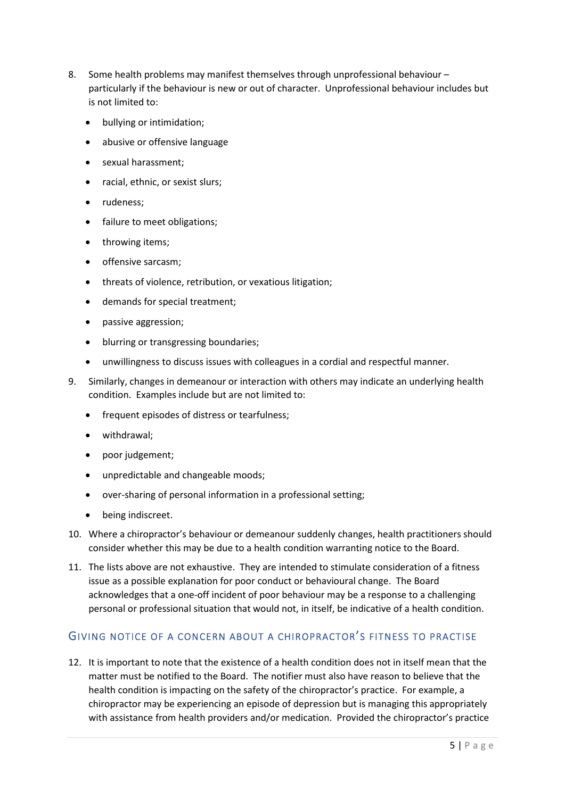- 8. Some health problems may manifest themselves through unprofessional behaviour particularly if the behaviour is new or out of character. Unprofessional behaviour includes but is not limited to:
	- bullying or intimidation;
	- abusive or offensive language
	- sexual harassment;
	- racial, ethnic, or sexist slurs;
	- rudeness;
	- failure to meet obligations;
	- throwing items;
	- offensive sarcasm;
	- threats of violence, retribution, or vexatious litigation;
	- demands for special treatment;
	- passive aggression;
	- blurring or transgressing boundaries;
	- unwillingness to discuss issues with colleagues in a cordial and respectful manner.
- 9. Similarly, changes in demeanour or interaction with others may indicate an underlying health condition. Examples include but are not limited to:
	- frequent episodes of distress or tearfulness;
	- withdrawal;
	- poor judgement;
	- unpredictable and changeable moods;
	- over-sharing of personal information in a professional setting;
	- being indiscreet.
- 10. Where a chiropractor's behaviour or demeanour suddenly changes, health practitioners should consider whether this may be due to a health condition warranting notice to the Board.
- 11. The lists above are not exhaustive. They are intended to stimulate consideration of a fitness issue as a possible explanation for poor conduct or behavioural change. The Board acknowledges that a one-off incident of poor behaviour may be a response to a challenging personal or professional situation that would not, in itself, be indicative of a health condition.

## <span id="page-5-0"></span>GIVING NOTICE OF A CONCERN ABOUT A CHIROPRACTOR'S FITNESS TO PRACTISE

12. It is important to note that the existence of a health condition does not in itself mean that the matter must be notified to the Board. The notifier must also have reason to believe that the health condition is impacting on the safety of the chiropractor's practice. For example, a chiropractor may be experiencing an episode of depression but is managing this appropriately with assistance from health providers and/or medication. Provided the chiropractor's practice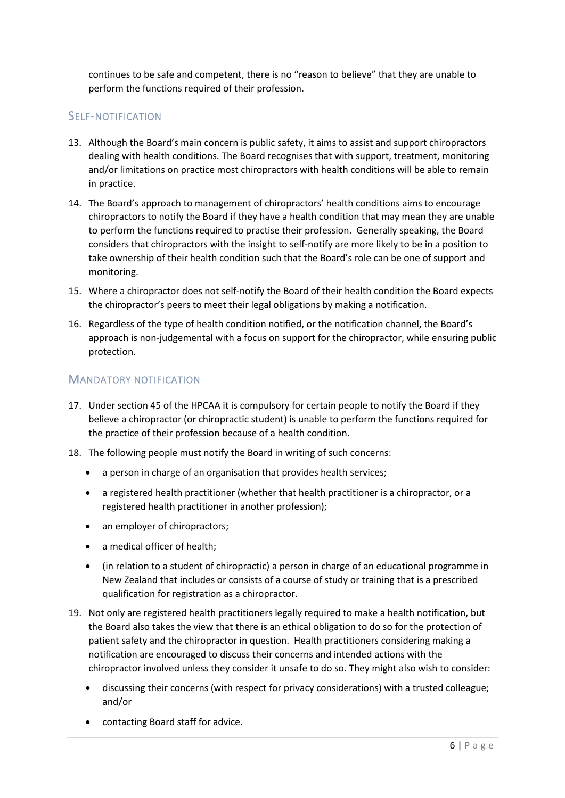continues to be safe and competent, there is no "reason to believe" that they are unable to perform the functions required of their profession.

## <span id="page-6-0"></span>SELF-NOTIFICATION

- 13. Although the Board's main concern is public safety, it aims to assist and support chiropractors dealing with health conditions. The Board recognises that with support, treatment, monitoring and/or limitations on practice most chiropractors with health conditions will be able to remain in practice.
- 14. The Board's approach to management of chiropractors' health conditions aims to encourage chiropractors to notify the Board if they have a health condition that may mean they are unable to perform the functions required to practise their profession. Generally speaking, the Board considers that chiropractors with the insight to self-notify are more likely to be in a position to take ownership of their health condition such that the Board's role can be one of support and monitoring.
- 15. Where a chiropractor does not self-notify the Board of their health condition the Board expects the chiropractor's peers to meet their legal obligations by making a notification.
- 16. Regardless of the type of health condition notified, or the notification channel, the Board's approach is non-judgemental with a focus on support for the chiropractor, while ensuring public protection.

## <span id="page-6-1"></span>MANDATORY NOTIFICATION

- 17. Under section 45 of the HPCAA it is compulsory for certain people to notify the Board if they believe a chiropractor (or chiropractic student) is unable to perform the functions required for the practice of their profession because of a health condition.
- 18. The following people must notify the Board in writing of such concerns:
	- a person in charge of an organisation that provides health services;
	- a registered health practitioner (whether that health practitioner is a chiropractor, or a registered health practitioner in another profession);
	- an employer of chiropractors:
	- a medical officer of health;
	- (in relation to a student of chiropractic) a person in charge of an educational programme in New Zealand that includes or consists of a course of study or training that is a prescribed qualification for registration as a chiropractor.
- 19. Not only are registered health practitioners legally required to make a health notification, but the Board also takes the view that there is an ethical obligation to do so for the protection of patient safety and the chiropractor in question. Health practitioners considering making a notification are encouraged to discuss their concerns and intended actions with the chiropractor involved unless they consider it unsafe to do so. They might also wish to consider:
	- discussing their concerns (with respect for privacy considerations) with a trusted colleague; and/or
	- contacting Board staff for advice.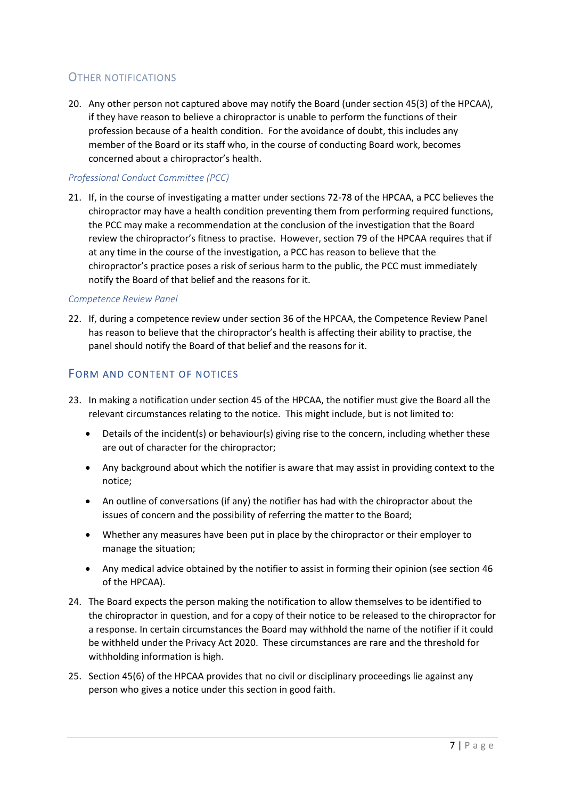## <span id="page-7-0"></span>OTHER NOTIFICATIONS

20. Any other person not captured above may notify the Board (under section 45(3) of the HPCAA), if they have reason to believe a chiropractor is unable to perform the functions of their profession because of a health condition. For the avoidance of doubt, this includes any member of the Board or its staff who, in the course of conducting Board work, becomes concerned about a chiropractor's health.

#### *Professional Conduct Committee (PCC)*

21. If, in the course of investigating a matter under sections 72-78 of the HPCAA, a PCC believes the chiropractor may have a health condition preventing them from performing required functions, the PCC may make a recommendation at the conclusion of the investigation that the Board review the chiropractor's fitness to practise. However, section 79 of the HPCAA requires that if at any time in the course of the investigation, a PCC has reason to believe that the chiropractor's practice poses a risk of serious harm to the public, the PCC must immediately notify the Board of that belief and the reasons for it.

#### *Competence Review Panel*

22. If, during a competence review under section 36 of the HPCAA, the Competence Review Panel has reason to believe that the chiropractor's health is affecting their ability to practise, the panel should notify the Board of that belief and the reasons for it.

## <span id="page-7-1"></span>FORM AND CONTENT OF NOTICES

- 23. In making a notification under section 45 of the HPCAA, the notifier must give the Board all the relevant circumstances relating to the notice. This might include, but is not limited to:
	- Details of the incident(s) or behaviour(s) giving rise to the concern, including whether these are out of character for the chiropractor;
	- Any background about which the notifier is aware that may assist in providing context to the notice;
	- An outline of conversations (if any) the notifier has had with the chiropractor about the issues of concern and the possibility of referring the matter to the Board;
	- Whether any measures have been put in place by the chiropractor or their employer to manage the situation;
	- Any medical advice obtained by the notifier to assist in forming their opinion (see section 46 of the HPCAA).
- 24. The Board expects the person making the notification to allow themselves to be identified to the chiropractor in question, and for a copy of their notice to be released to the chiropractor for a response. In certain circumstances the Board may withhold the name of the notifier if it could be withheld under the Privacy Act 2020. These circumstances are rare and the threshold for withholding information is high.
- 25. Section 45(6) of the HPCAA provides that no civil or disciplinary proceedings lie against any person who gives a notice under this section in good faith.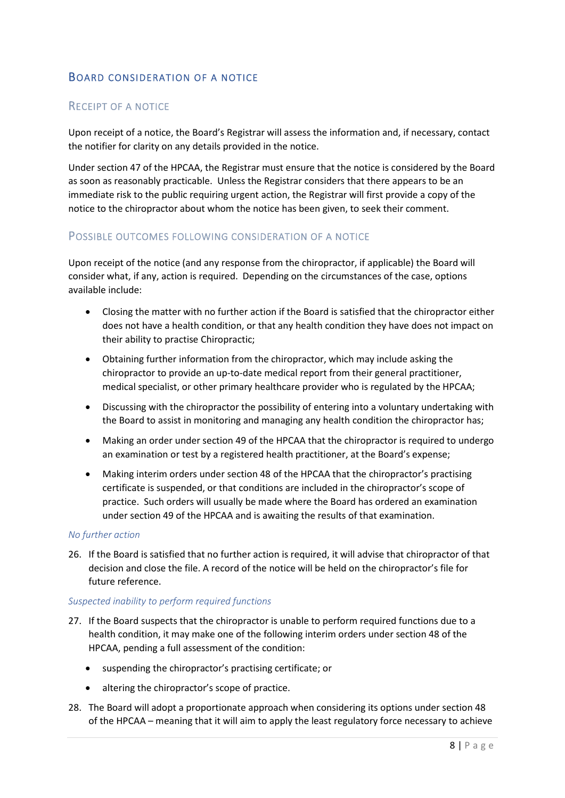## <span id="page-8-0"></span>BOARD CONSIDERATION OF A NOTICE

### <span id="page-8-1"></span>RECEIPT OF A NOTICE

Upon receipt of a notice, the Board's Registrar will assess the information and, if necessary, contact the notifier for clarity on any details provided in the notice.

Under section 47 of the HPCAA, the Registrar must ensure that the notice is considered by the Board as soon as reasonably practicable. Unless the Registrar considers that there appears to be an immediate risk to the public requiring urgent action, the Registrar will first provide a copy of the notice to the chiropractor about whom the notice has been given, to seek their comment.

#### <span id="page-8-2"></span>POSSIBLE OUTCOMES FOLLOWING CONSIDERATION OF A NOTICE

Upon receipt of the notice (and any response from the chiropractor, if applicable) the Board will consider what, if any, action is required. Depending on the circumstances of the case, options available include:

- Closing the matter with no further action if the Board is satisfied that the chiropractor either does not have a health condition, or that any health condition they have does not impact on their ability to practise Chiropractic;
- Obtaining further information from the chiropractor, which may include asking the chiropractor to provide an up-to-date medical report from their general practitioner, medical specialist, or other primary healthcare provider who is regulated by the HPCAA;
- Discussing with the chiropractor the possibility of entering into a voluntary undertaking with the Board to assist in monitoring and managing any health condition the chiropractor has;
- Making an order under section 49 of the HPCAA that the chiropractor is required to undergo an examination or test by a registered health practitioner, at the Board's expense;
- Making interim orders under section 48 of the HPCAA that the chiropractor's practising certificate is suspended, or that conditions are included in the chiropractor's scope of practice. Such orders will usually be made where the Board has ordered an examination under section 49 of the HPCAA and is awaiting the results of that examination.

#### *No further action*

26. If the Board is satisfied that no further action is required, it will advise that chiropractor of that decision and close the file. A record of the notice will be held on the chiropractor's file for future reference.

#### *Suspected inability to perform required functions*

- 27. If the Board suspects that the chiropractor is unable to perform required functions due to a health condition, it may make one of the following interim orders under section 48 of the HPCAA, pending a full assessment of the condition:
	- suspending the chiropractor's practising certificate; or
	- altering the chiropractor's scope of practice.
- 28. The Board will adopt a proportionate approach when considering its options under section 48 of the HPCAA – meaning that it will aim to apply the least regulatory force necessary to achieve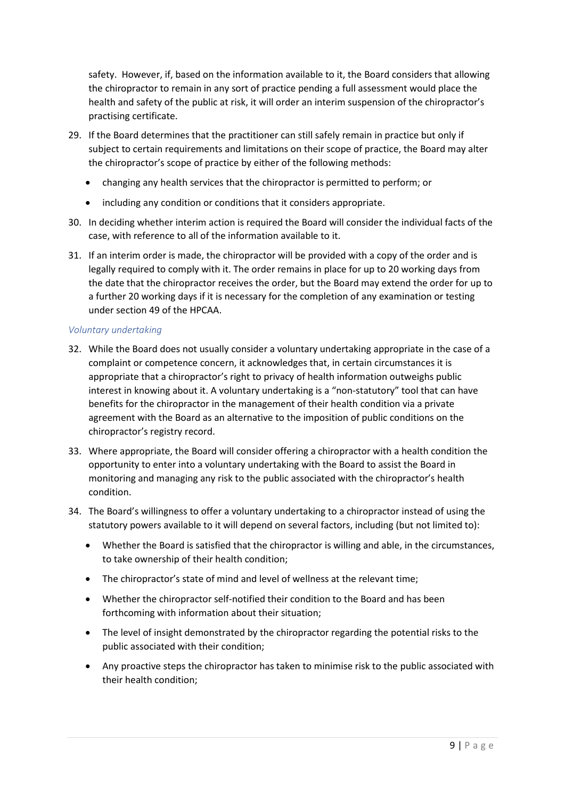safety. However, if, based on the information available to it, the Board considers that allowing the chiropractor to remain in any sort of practice pending a full assessment would place the health and safety of the public at risk, it will order an interim suspension of the chiropractor's practising certificate.

- 29. If the Board determines that the practitioner can still safely remain in practice but only if subject to certain requirements and limitations on their scope of practice, the Board may alter the chiropractor's scope of practice by either of the following methods:
	- changing any health services that the chiropractor is permitted to perform; or
	- including any condition or conditions that it considers appropriate.
- 30. In deciding whether interim action is required the Board will consider the individual facts of the case, with reference to all of the information available to it.
- 31. If an interim order is made, the chiropractor will be provided with a copy of the order and is legally required to comply with it. The order remains in place for up to 20 working days from the date that the chiropractor receives the order, but the Board may extend the order for up to a further 20 working days if it is necessary for the completion of any examination or testing under section 49 of the HPCAA.

#### *Voluntary undertaking*

- 32. While the Board does not usually consider a voluntary undertaking appropriate in the case of a complaint or competence concern, it acknowledges that, in certain circumstances it is appropriate that a chiropractor's right to privacy of health information outweighs public interest in knowing about it. A voluntary undertaking is a "non-statutory" tool that can have benefits for the chiropractor in the management of their health condition via a private agreement with the Board as an alternative to the imposition of public conditions on the chiropractor's registry record.
- 33. Where appropriate, the Board will consider offering a chiropractor with a health condition the opportunity to enter into a voluntary undertaking with the Board to assist the Board in monitoring and managing any risk to the public associated with the chiropractor's health condition.
- 34. The Board's willingness to offer a voluntary undertaking to a chiropractor instead of using the statutory powers available to it will depend on several factors, including (but not limited to):
	- Whether the Board is satisfied that the chiropractor is willing and able, in the circumstances, to take ownership of their health condition;
	- The chiropractor's state of mind and level of wellness at the relevant time;
	- Whether the chiropractor self-notified their condition to the Board and has been forthcoming with information about their situation;
	- The level of insight demonstrated by the chiropractor regarding the potential risks to the public associated with their condition;
	- Any proactive steps the chiropractor has taken to minimise risk to the public associated with their health condition;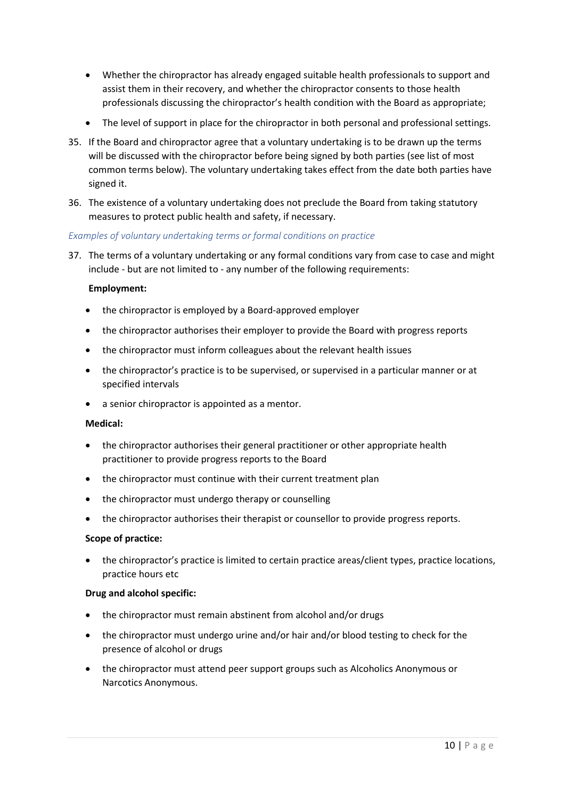- Whether the chiropractor has already engaged suitable health professionals to support and assist them in their recovery, and whether the chiropractor consents to those health professionals discussing the chiropractor's health condition with the Board as appropriate;
- The level of support in place for the chiropractor in both personal and professional settings.
- 35. If the Board and chiropractor agree that a voluntary undertaking is to be drawn up the terms will be discussed with the chiropractor before being signed by both parties (see list of most common terms below). The voluntary undertaking takes effect from the date both parties have signed it.
- 36. The existence of a voluntary undertaking does not preclude the Board from taking statutory measures to protect public health and safety, if necessary.

#### *Examples of voluntary undertaking terms or formal conditions on practice*

37. The terms of a voluntary undertaking or any formal conditions vary from case to case and might include - but are not limited to - any number of the following requirements:

#### **Employment:**

- the chiropractor is employed by a Board-approved employer
- the chiropractor authorises their employer to provide the Board with progress reports
- the chiropractor must inform colleagues about the relevant health issues
- the chiropractor's practice is to be supervised, or supervised in a particular manner or at specified intervals
- a senior chiropractor is appointed as a mentor.

#### **Medical:**

- the chiropractor authorises their general practitioner or other appropriate health practitioner to provide progress reports to the Board
- the chiropractor must continue with their current treatment plan
- the chiropractor must undergo therapy or counselling
- the chiropractor authorises their therapist or counsellor to provide progress reports.

#### **Scope of practice:**

 the chiropractor's practice is limited to certain practice areas/client types, practice locations, practice hours etc

#### **Drug and alcohol specific:**

- the chiropractor must remain abstinent from alcohol and/or drugs
- the chiropractor must undergo urine and/or hair and/or blood testing to check for the presence of alcohol or drugs
- the chiropractor must attend peer support groups such as Alcoholics Anonymous or Narcotics Anonymous.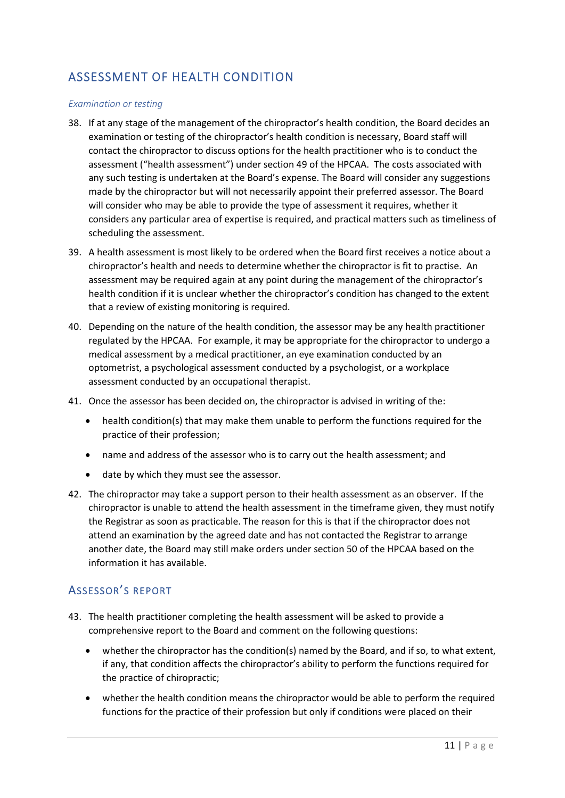## <span id="page-11-0"></span>ASSESSMENT OF HEALTH CONDITION

#### *Examination or testing*

- 38. If at any stage of the management of the chiropractor's health condition, the Board decides an examination or testing of the chiropractor's health condition is necessary, Board staff will contact the chiropractor to discuss options for the health practitioner who is to conduct the assessment ("health assessment") under section 49 of the HPCAA. The costs associated with any such testing is undertaken at the Board's expense. The Board will consider any suggestions made by the chiropractor but will not necessarily appoint their preferred assessor. The Board will consider who may be able to provide the type of assessment it requires, whether it considers any particular area of expertise is required, and practical matters such as timeliness of scheduling the assessment.
- 39. A health assessment is most likely to be ordered when the Board first receives a notice about a chiropractor's health and needs to determine whether the chiropractor is fit to practise. An assessment may be required again at any point during the management of the chiropractor's health condition if it is unclear whether the chiropractor's condition has changed to the extent that a review of existing monitoring is required.
- 40. Depending on the nature of the health condition, the assessor may be any health practitioner regulated by the HPCAA. For example, it may be appropriate for the chiropractor to undergo a medical assessment by a medical practitioner, an eye examination conducted by an optometrist, a psychological assessment conducted by a psychologist, or a workplace assessment conducted by an occupational therapist.
- 41. Once the assessor has been decided on, the chiropractor is advised in writing of the:
	- health condition(s) that may make them unable to perform the functions required for the practice of their profession;
	- name and address of the assessor who is to carry out the health assessment; and
	- date by which they must see the assessor.
- 42. The chiropractor may take a support person to their health assessment as an observer. If the chiropractor is unable to attend the health assessment in the timeframe given, they must notify the Registrar as soon as practicable. The reason for this is that if the chiropractor does not attend an examination by the agreed date and has not contacted the Registrar to arrange another date, the Board may still make orders under section 50 of the HPCAA based on the information it has available.

## <span id="page-11-1"></span>ASSESSOR'S REPORT

- 43. The health practitioner completing the health assessment will be asked to provide a comprehensive report to the Board and comment on the following questions:
	- whether the chiropractor has the condition(s) named by the Board, and if so, to what extent, if any, that condition affects the chiropractor's ability to perform the functions required for the practice of chiropractic;
	- whether the health condition means the chiropractor would be able to perform the required functions for the practice of their profession but only if conditions were placed on their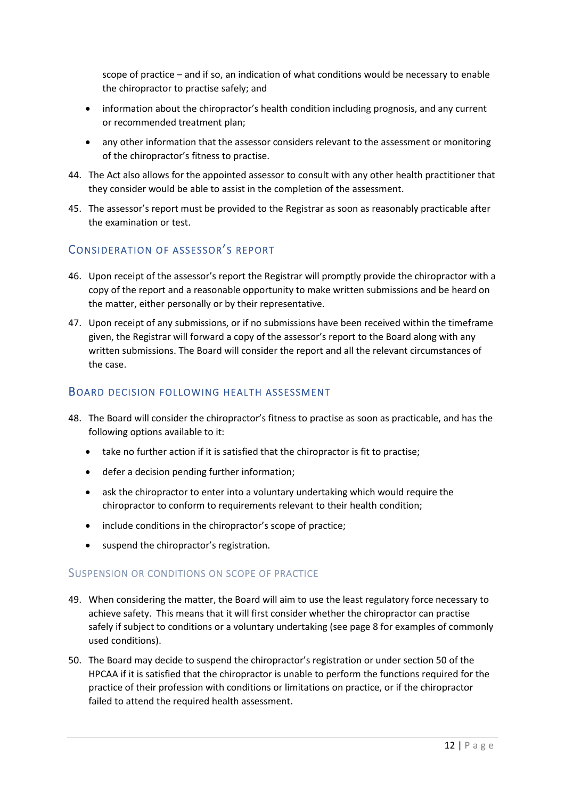scope of practice – and if so, an indication of what conditions would be necessary to enable the chiropractor to practise safely; and

- information about the chiropractor's health condition including prognosis, and any current or recommended treatment plan;
- any other information that the assessor considers relevant to the assessment or monitoring of the chiropractor's fitness to practise.
- 44. The Act also allows for the appointed assessor to consult with any other health practitioner that they consider would be able to assist in the completion of the assessment.
- 45. The assessor's report must be provided to the Registrar as soon as reasonably practicable after the examination or test.

## <span id="page-12-0"></span>CONSIDERATION OF ASSESSOR'S REPORT

- 46. Upon receipt of the assessor's report the Registrar will promptly provide the chiropractor with a copy of the report and a reasonable opportunity to make written submissions and be heard on the matter, either personally or by their representative.
- 47. Upon receipt of any submissions, or if no submissions have been received within the timeframe given, the Registrar will forward a copy of the assessor's report to the Board along with any written submissions. The Board will consider the report and all the relevant circumstances of the case.

#### <span id="page-12-1"></span>BOARD DECISION FOLLOWING HEALTH ASSESSMENT

- 48. The Board will consider the chiropractor's fitness to practise as soon as practicable, and has the following options available to it:
	- take no further action if it is satisfied that the chiropractor is fit to practise;
	- defer a decision pending further information;
	- ask the chiropractor to enter into a voluntary undertaking which would require the chiropractor to conform to requirements relevant to their health condition;
	- include conditions in the chiropractor's scope of practice;
	- suspend the chiropractor's registration.

#### <span id="page-12-2"></span>SUSPENSION OR CONDITIONS ON SCOPE OF PRACTICE

- 49. When considering the matter, the Board will aim to use the least regulatory force necessary to achieve safety. This means that it will first consider whether the chiropractor can practise safely if subject to conditions or a voluntary undertaking (see page 8 for examples of commonly used conditions).
- 50. The Board may decide to suspend the chiropractor's registration or under section 50 of the HPCAA if it is satisfied that the chiropractor is unable to perform the functions required for the practice of their profession with conditions or limitations on practice, or if the chiropractor failed to attend the required health assessment.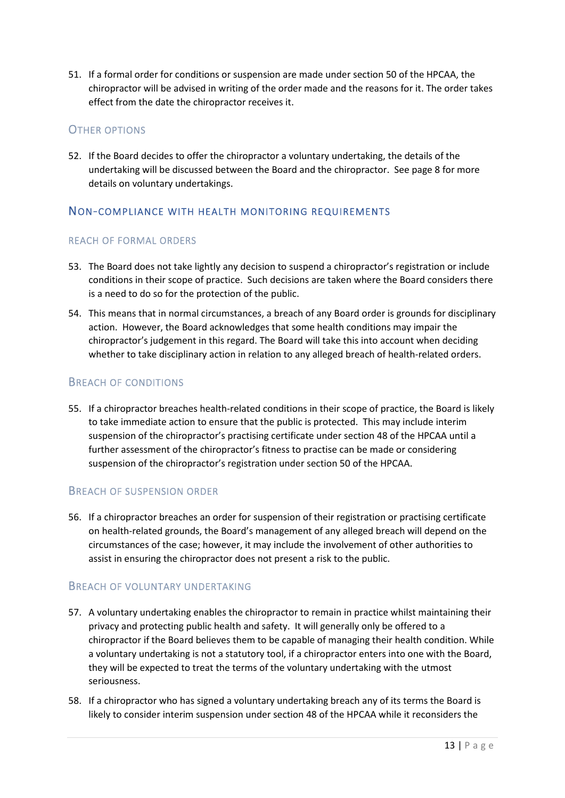51. If a formal order for conditions or suspension are made under section 50 of the HPCAA, the chiropractor will be advised in writing of the order made and the reasons for it. The order takes effect from the date the chiropractor receives it.

## <span id="page-13-0"></span>OTHER OPTIONS

52. If the Board decides to offer the chiropractor a voluntary undertaking, the details of the undertaking will be discussed between the Board and the chiropractor. See page 8 for more details on voluntary undertakings.

## <span id="page-13-1"></span>NON-COMPLIANCE WITH HEALTH MONITORING REQUIREMENTS

#### <span id="page-13-2"></span>REACH OF FORMAL ORDERS

- 53. The Board does not take lightly any decision to suspend a chiropractor's registration or include conditions in their scope of practice. Such decisions are taken where the Board considers there is a need to do so for the protection of the public.
- 54. This means that in normal circumstances, a breach of any Board order is grounds for disciplinary action. However, the Board acknowledges that some health conditions may impair the chiropractor's judgement in this regard. The Board will take this into account when deciding whether to take disciplinary action in relation to any alleged breach of health-related orders.

#### <span id="page-13-3"></span>BREACH OF CONDITIONS

55. If a chiropractor breaches health-related conditions in their scope of practice, the Board is likely to take immediate action to ensure that the public is protected. This may include interim suspension of the chiropractor's practising certificate under section 48 of the HPCAA until a further assessment of the chiropractor's fitness to practise can be made or considering suspension of the chiropractor's registration under section 50 of the HPCAA.

## <span id="page-13-4"></span>BREACH OF SUSPENSION ORDER

56. If a chiropractor breaches an order for suspension of their registration or practising certificate on health-related grounds, the Board's management of any alleged breach will depend on the circumstances of the case; however, it may include the involvement of other authorities to assist in ensuring the chiropractor does not present a risk to the public.

#### <span id="page-13-5"></span>BREACH OF VOLUNTARY UNDERTAKING

- 57. A voluntary undertaking enables the chiropractor to remain in practice whilst maintaining their privacy and protecting public health and safety. It will generally only be offered to a chiropractor if the Board believes them to be capable of managing their health condition. While a voluntary undertaking is not a statutory tool, if a chiropractor enters into one with the Board, they will be expected to treat the terms of the voluntary undertaking with the utmost seriousness.
- 58. If a chiropractor who has signed a voluntary undertaking breach any of its terms the Board is likely to consider interim suspension under section 48 of the HPCAA while it reconsiders the